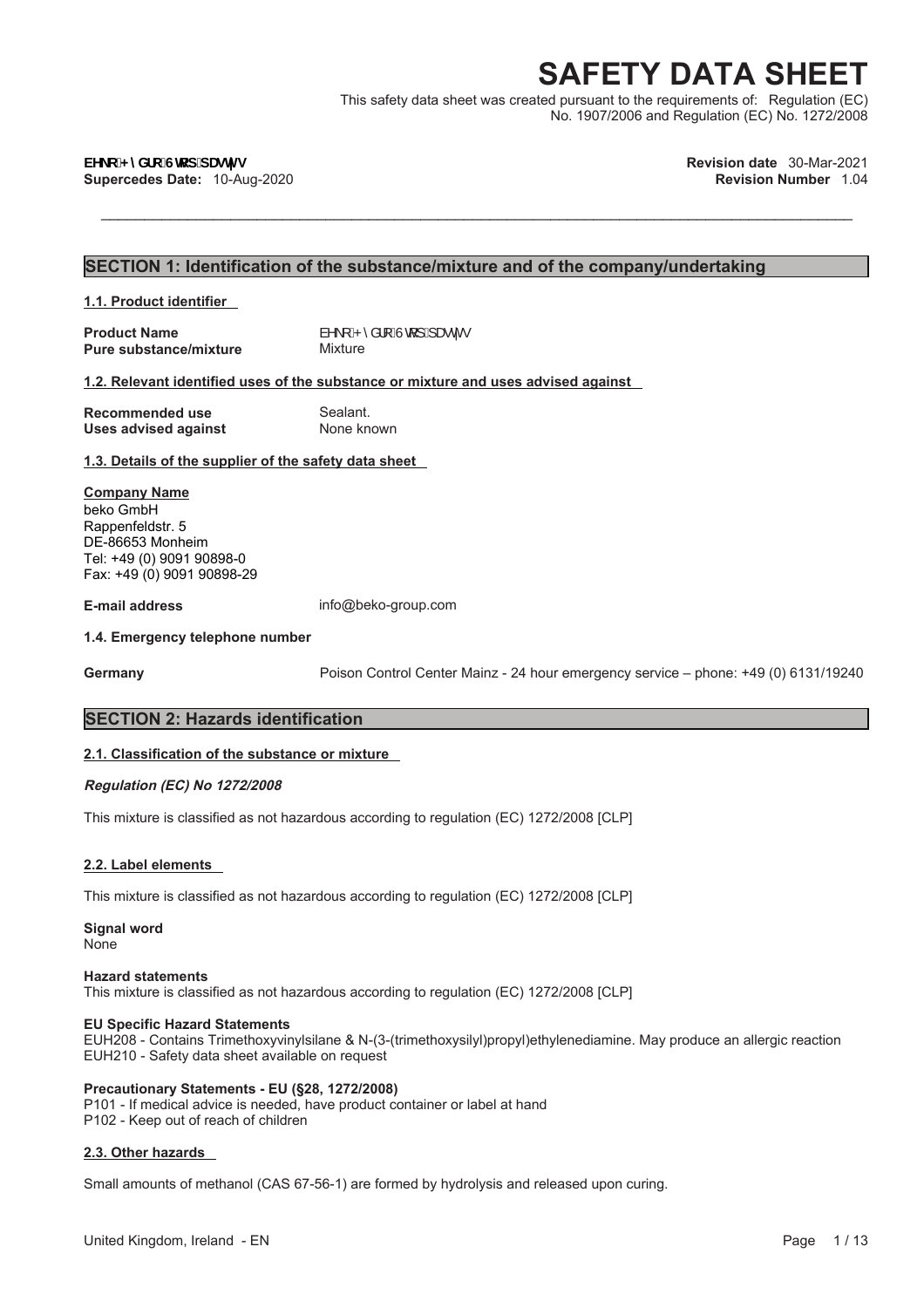This safety data sheet was created pursuant to the requirements of: Regulation (EC) No. 1907/2006 and Regulation (EC) No. 1272/2008

# VY c'<mXfc!Ghcd'dUgh'g

**Supercedes Date: 10-Aug-2020** 

**Revision date** 30-Mar-2021

# **SECTION 1: Identification of the substance/mixture and of the company/undertaking**

\_\_\_\_\_\_\_\_\_\_\_\_\_\_\_\_\_\_\_\_\_\_\_\_\_\_\_\_\_\_\_\_\_\_\_\_\_\_\_\_\_\_\_\_\_\_\_\_\_\_\_\_\_\_\_\_\_\_\_\_\_\_\_\_\_\_\_\_\_\_\_\_\_\_\_\_\_\_\_\_\_\_\_\_\_\_\_

### **1.1. Product identifier**

**Product Name**  $\hat{a}^{\wedge}$   $\hat{R}^{\hat{\sigma}}\hat{a}$ :  $\hat{H}^{\hat{\sigma}}\hat{B}$   $\hat{H}^{\hat{\sigma}}\hat{B}$   $\hat{B}$   $\hat{B}$   $\hat{B}$   $\hat{\sigma}$   $\hat{\sigma}$   $\hat{\sigma}$   $\hat{\sigma}$   $\hat{\sigma}$   $\hat{\sigma}$   $\hat{\sigma}$   $\hat{\sigma}$   $\hat{\sigma}$   $\hat{\sigma}$   $\hat{\sigma}$   $\hat{\sigma}$   $\hat{\sigma}$   $\hat{\sigma}$  **Pure substance/mixture** 

### **1.2. Relevant identified uses of the substance or mixture and uses advised against**

**Recommended use** Sealant.<br> **Uses advised against** None known **Uses advised against** 

### **1.3. Details of the supplier of the safety data sheet**

**Company Name** beko GmbH Rappenfeldstr. 5 DE-86653 Monheim Tel: +49 (0) 9091 90898-0 Fax: +49 (0) 9091 90898-29

**E-mail address** info@beko-group.com

**1.4. Emergency telephone number**

**Germany** Poison Control Center Mainz - 24 hour emergency service – phone: +49 (0) 6131/19240

## **SECTION 2: Hazards identification**

## **2.1. Classification of the substance or mixture**

### **Regulation (EC) No 1272/2008**

This mixture is classified as not hazardous according to regulation (EC) 1272/2008 [CLP]

## **2.2. Label elements**

This mixture is classified as not hazardous according to regulation (EC) 1272/2008 [CLP]

**Signal word** None

### **Hazard statements**

This mixture is classified as not hazardous according to regulation (EC) 1272/2008 [CLP]

### **EU Specific Hazard Statements**

EUH208 - Contains Trimethoxyvinylsilane & N-(3-(trimethoxysilyl)propyl)ethylenediamine. May produce an allergic reaction EUH210 - Safety data sheet available on request

### **Precautionary Statements - EU (§28, 1272/2008)**

P101 - If medical advice is needed, have product container or label at hand P102 - Keep out of reach of children

## **2.3. Other hazards**

Small amounts of methanol (CAS 67-56-1) are formed by hydrolysis and released upon curing.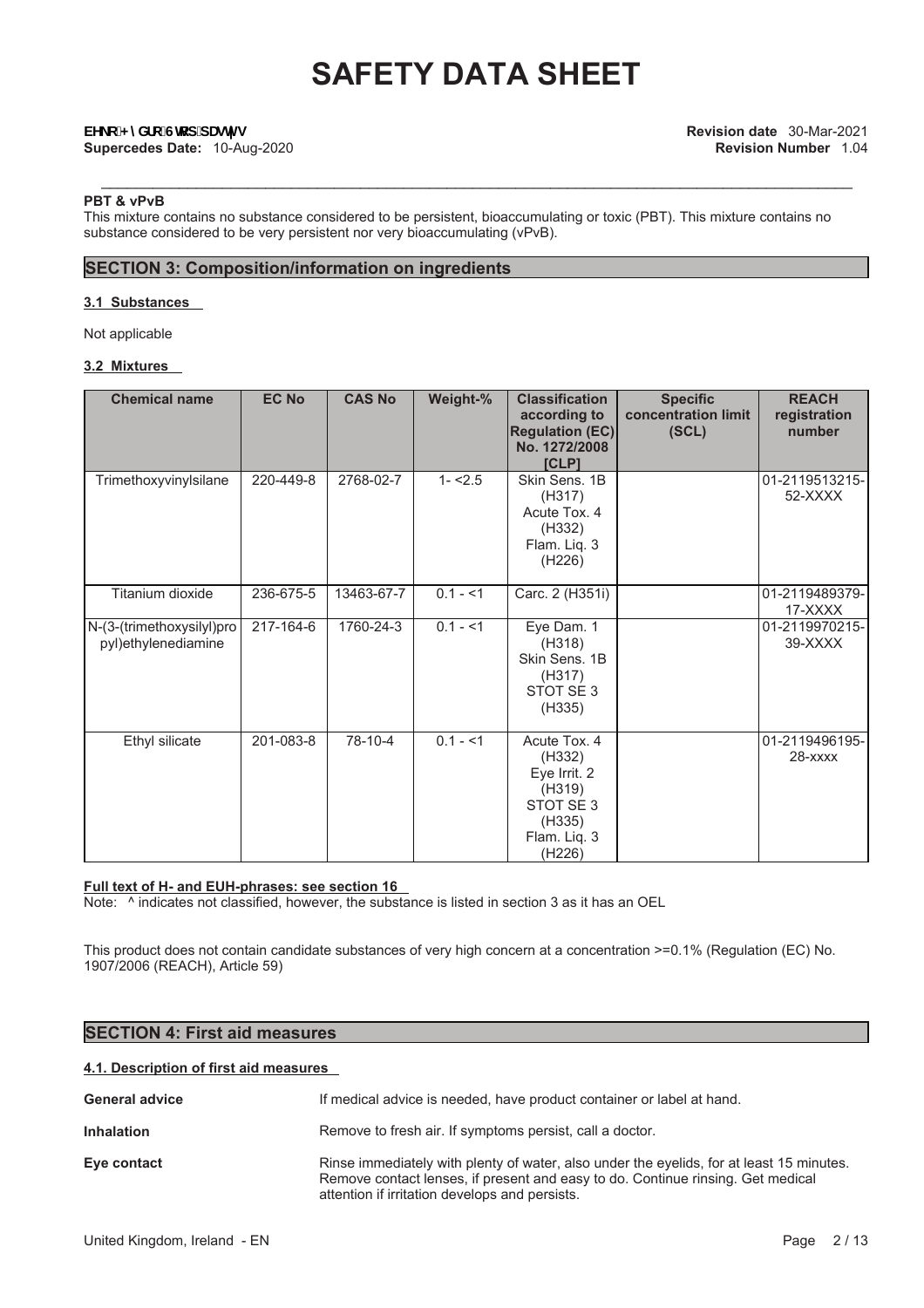\_\_\_\_\_\_\_\_\_\_\_\_\_\_\_\_\_\_\_\_\_\_\_\_\_\_\_\_\_\_\_\_\_\_\_\_\_\_\_\_\_\_\_\_\_\_\_\_\_\_\_\_\_\_\_\_\_\_\_\_\_\_\_\_\_\_\_\_\_\_\_\_\_\_\_\_\_\_\_\_\_\_\_\_\_\_\_

### VY c'<mXfc!Ghcd'dUgh'q

**Supercedes Date: 10-Aug-2020** 

### **PBT & vPvB**

This mixture contains no substance considered to be persistent, bioaccumulating or toxic (PBT). This mixture contains no substance considered to be very persistent nor very bioaccumulating (vPvB).

# **SECTION 3: Composition/information on ingredients**

### **3.1 Substances**

Not applicable

# **3.2 Mixtures**

| <b>Chemical name</b>                             | <b>EC No</b> | <b>CAS No</b> | Weight-%  | <b>Classification</b><br>according to<br><b>Regulation (EC)</b><br>No. 1272/2008<br>[CLP]         | <b>Specific</b><br>concentration limit<br>(SCL) | <b>REACH</b><br>registration<br>number |
|--------------------------------------------------|--------------|---------------|-----------|---------------------------------------------------------------------------------------------------|-------------------------------------------------|----------------------------------------|
| Trimethoxyvinylsilane                            | 220-449-8    | 2768-02-7     | $1 - 2.5$ | Skin Sens. 1B<br>(H317)<br>Acute Tox. 4<br>(H332)<br>Flam. Liq. 3<br>(H226)                       |                                                 | 01-2119513215-<br>52-XXXX              |
| Titanium dioxide                                 | 236-675-5    | 13463-67-7    | $0.1 - 1$ | Carc. 2 (H351i)                                                                                   |                                                 | 01-2119489379-<br>17-XXXX              |
| N-(3-(trimethoxysilyl)pro<br>pyl)ethylenediamine | 217-164-6    | 1760-24-3     | $0.1 - 1$ | Eye Dam. 1<br>(H318)<br>Skin Sens. 1B<br>(H317)<br>STOT SE3<br>(H335)                             |                                                 | 01-2119970215-<br>39-XXXX              |
| Ethyl silicate                                   | 201-083-8    | 78-10-4       | $0.1 - 1$ | Acute Tox. 4<br>(H332)<br>Eye Irrit. 2<br>(H319)<br>STOT SE 3<br>(H335)<br>Flam. Liq. 3<br>(H226) |                                                 | 01-2119496195-<br>28-xxxx              |

## **Full text of H- and EUH-phrases: see section 16**

Note:  $\wedge$  indicates not classified, however, the substance is listed in section 3 as it has an OEL

This product does not contain candidate substances of very high concern at a concentration >=0.1% (Regulation (EC) No. 1907/2006 (REACH), Article 59)

# **SECTION 4: First aid measures**

### **4.1. Description of first aid measures**

| <b>General advice</b> | If medical advice is needed, have product container or label at hand.                                                                                                                                                         |
|-----------------------|-------------------------------------------------------------------------------------------------------------------------------------------------------------------------------------------------------------------------------|
| <b>Inhalation</b>     | Remove to fresh air. If symptoms persist, call a doctor.                                                                                                                                                                      |
| Eye contact           | Rinse immediately with plenty of water, also under the eyelids, for at least 15 minutes.<br>Remove contact lenses, if present and easy to do. Continue rinsing. Get medical<br>attention if irritation develops and persists. |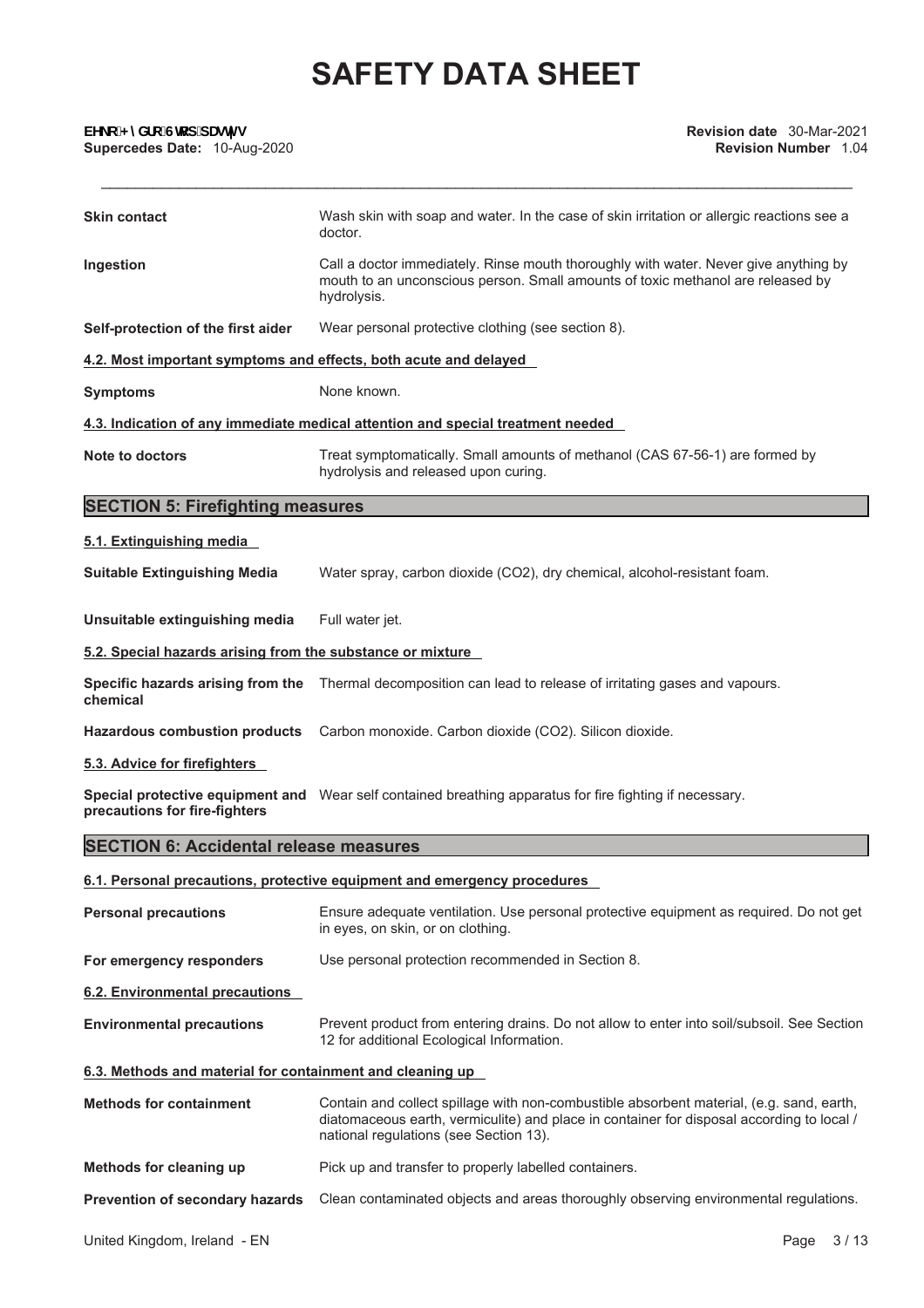\_\_\_\_\_\_\_\_\_\_\_\_\_\_\_\_\_\_\_\_\_\_\_\_\_\_\_\_\_\_\_\_\_\_\_\_\_\_\_\_\_\_\_\_\_\_\_\_\_\_\_\_\_\_\_\_\_\_\_\_\_\_\_\_\_\_\_\_\_\_\_\_\_\_\_\_\_\_\_\_\_\_\_\_\_\_\_

| VY_c < mXfc!Ghcd dUgh"g             | <b>Revision date</b> 30-Mar-2021 |
|-------------------------------------|----------------------------------|
| <b>Supercedes Date: 10-Aug-2020</b> | <b>Revision Number 1.04</b>      |

| <b>Skin contact</b>                                              | Wash skin with soap and water. In the case of skin irritation or allergic reactions see a<br>doctor.                                                                                                                            |
|------------------------------------------------------------------|---------------------------------------------------------------------------------------------------------------------------------------------------------------------------------------------------------------------------------|
| Ingestion                                                        | Call a doctor immediately. Rinse mouth thoroughly with water. Never give anything by<br>mouth to an unconscious person. Small amounts of toxic methanol are released by<br>hydrolysis.                                          |
| Self-protection of the first aider                               | Wear personal protective clothing (see section 8).                                                                                                                                                                              |
| 4.2. Most important symptoms and effects, both acute and delayed |                                                                                                                                                                                                                                 |
| <b>Symptoms</b>                                                  | None known.                                                                                                                                                                                                                     |
|                                                                  | 4.3. Indication of any immediate medical attention and special treatment needed                                                                                                                                                 |
| Note to doctors                                                  | Treat symptomatically. Small amounts of methanol (CAS 67-56-1) are formed by<br>hydrolysis and released upon curing.                                                                                                            |
| <b>SECTION 5: Firefighting measures</b>                          |                                                                                                                                                                                                                                 |
| 5.1. Extinguishing media                                         |                                                                                                                                                                                                                                 |
| <b>Suitable Extinguishing Media</b>                              | Water spray, carbon dioxide (CO2), dry chemical, alcohol-resistant foam.                                                                                                                                                        |
| Unsuitable extinguishing media                                   | Full water jet.                                                                                                                                                                                                                 |
| 5.2. Special hazards arising from the substance or mixture       |                                                                                                                                                                                                                                 |
| Specific hazards arising from the<br>chemical                    | Thermal decomposition can lead to release of irritating gases and vapours.                                                                                                                                                      |
| <b>Hazardous combustion products</b>                             | Carbon monoxide. Carbon dioxide (CO2). Silicon dioxide.                                                                                                                                                                         |
| 5.3. Advice for firefighters                                     |                                                                                                                                                                                                                                 |
| precautions for fire-fighters                                    | Special protective equipment and Wear self contained breathing apparatus for fire fighting if necessary.                                                                                                                        |
| <b>SECTION 6: Accidental release measures</b>                    |                                                                                                                                                                                                                                 |
|                                                                  | 6.1. Personal precautions, protective equipment and emergency procedures                                                                                                                                                        |
| <b>Personal precautions</b>                                      | Ensure adequate ventilation. Use personal protective equipment as required. Do not get<br>in eyes, on skin, or on clothing.                                                                                                     |
| For emergency responders                                         | Use personal protection recommended in Section 8.                                                                                                                                                                               |
| 6.2. Environmental precautions                                   |                                                                                                                                                                                                                                 |
| <b>Environmental precautions</b>                                 | Prevent product from entering drains. Do not allow to enter into soil/subsoil. See Section<br>12 for additional Ecological Information.                                                                                         |
| 6.3. Methods and material for containment and cleaning up        |                                                                                                                                                                                                                                 |
| <b>Methods for containment</b>                                   | Contain and collect spillage with non-combustible absorbent material, (e.g. sand, earth,<br>diatomaceous earth, vermiculite) and place in container for disposal according to local /<br>national regulations (see Section 13). |
| Methods for cleaning up                                          | Pick up and transfer to properly labelled containers.                                                                                                                                                                           |
| Prevention of secondary hazards                                  | Clean contaminated objects and areas thoroughly observing environmental regulations.                                                                                                                                            |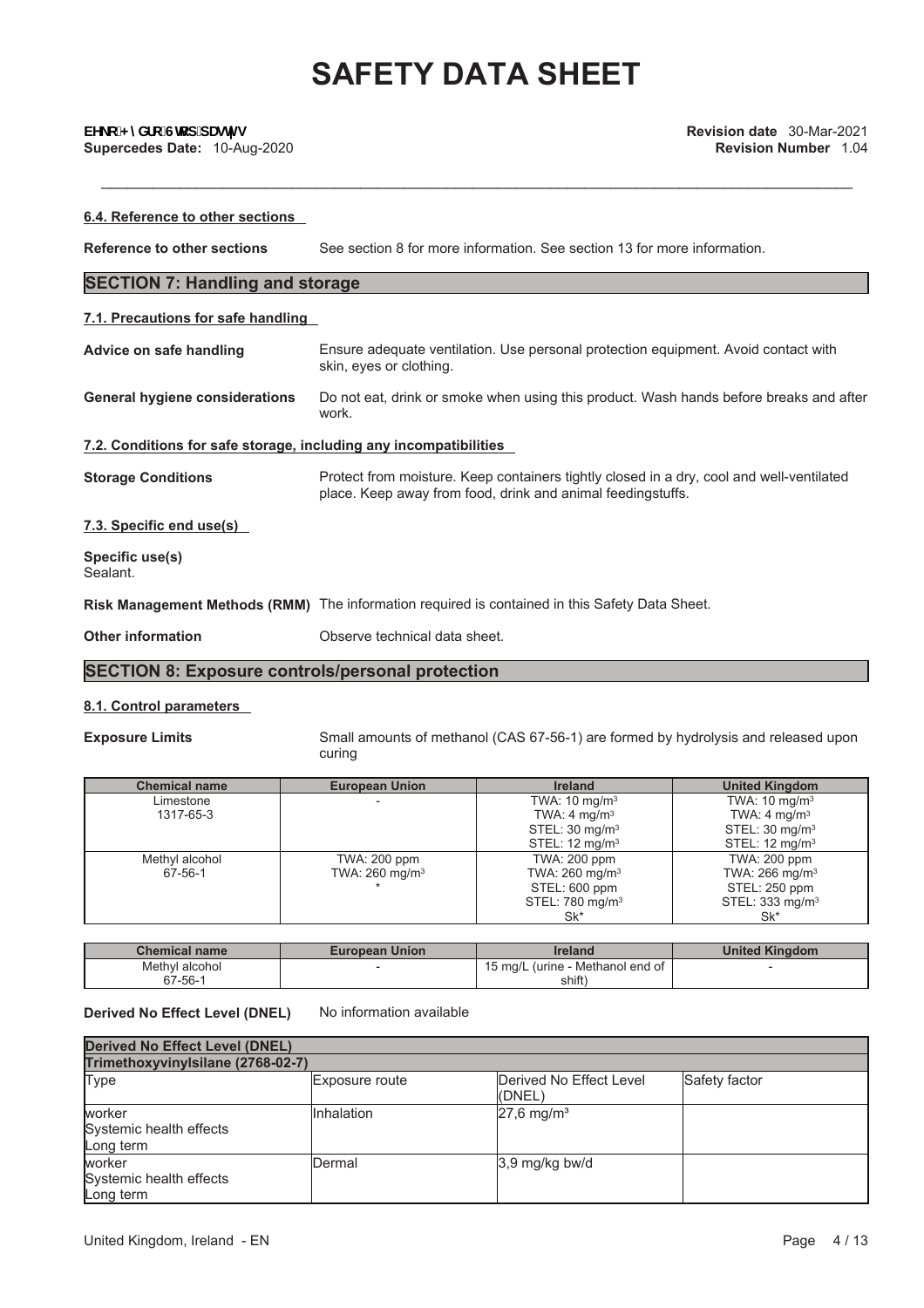\_\_\_\_\_\_\_\_\_\_\_\_\_\_\_\_\_\_\_\_\_\_\_\_\_\_\_\_\_\_\_\_\_\_\_\_\_\_\_\_\_\_\_\_\_\_\_\_\_\_\_\_\_\_\_\_\_\_\_\_\_\_\_\_\_\_\_\_\_\_\_\_\_\_\_\_\_\_\_\_\_\_\_\_\_\_\_

### VY\_c < nXfc!Ghcd dUgh"g

**Supercedes Date:** 10-Aug-2020 **Revision Number** 1.04

| 6.4. Reference to other sections                                  |                                                                                                                                                         |
|-------------------------------------------------------------------|---------------------------------------------------------------------------------------------------------------------------------------------------------|
| Reference to other sections                                       | See section 8 for more information. See section 13 for more information.                                                                                |
| <b>SECTION 7: Handling and storage</b>                            |                                                                                                                                                         |
| 7.1. Precautions for safe handling                                |                                                                                                                                                         |
| Advice on safe handling                                           | Ensure adequate ventilation. Use personal protection equipment. Avoid contact with<br>skin, eyes or clothing.                                           |
| <b>General hygiene considerations</b>                             | Do not eat, drink or smoke when using this product. Wash hands before breaks and after<br>work.                                                         |
| 7.2. Conditions for safe storage, including any incompatibilities |                                                                                                                                                         |
| <b>Storage Conditions</b>                                         | Protect from moisture. Keep containers tightly closed in a dry, cool and well-ventilated<br>place. Keep away from food, drink and animal feedingstuffs. |
| 7.3. Specific end use(s)                                          |                                                                                                                                                         |
| Specific use(s)<br>Sealant.                                       |                                                                                                                                                         |
|                                                                   | <b>Risk Management Methods (RMM)</b> The information required is contained in this Safety Data Sheet.                                                   |
| <b>Other information</b>                                          | Observe technical data sheet.                                                                                                                           |
| <b>SECTION 8: Exposure controls/personal protection</b>           |                                                                                                                                                         |

### **8.1. Control parameters**

**Exposure Limits** Small amounts of methanol (CAS 67-56-1) are formed by hydrolysis and released upon curing

| <b>Chemical name</b> | <b>European Union</b>     | <b>Ireland</b>              | <b>United Kingdom</b>        |
|----------------------|---------------------------|-----------------------------|------------------------------|
| Limestone            |                           | TWA: $10 \text{ mg/m}^3$    | TWA: $10 \text{ mg/m}^3$     |
| 1317-65-3            |                           | TWA: $4 \text{ mg/m}^3$     | TWA: $4 \text{ mg/m}^3$      |
|                      |                           | STEL: $30 \text{ mg/m}^3$   | STEL: $30 \text{ mg/m}^3$    |
|                      |                           | STEL: $12 \text{ mg/m}^3$   | STEL: $12 \text{ mg/m}^3$    |
| Methyl alcohol       | TWA: 200 ppm              | <b>TWA: 200 ppm</b>         | <b>TWA: 200 ppm</b>          |
| 67-56-1              | TWA: $260 \text{ mg/m}^3$ | TWA: $260 \text{ mg/m}^3$   | TWA: $266$ mg/m <sup>3</sup> |
|                      |                           | STEL: 600 ppm               | STEL: 250 ppm                |
|                      |                           | STEL: 780 mg/m <sup>3</sup> | STEL: $333 \text{ mg/m}^3$   |
|                      |                           | Sk <sup>*</sup>             | Sk*                          |

| <b>Chemical name</b> | European Union | Ireland                                  | <b>United Kinadom</b> |
|----------------------|----------------|------------------------------------------|-----------------------|
| Methyl alcohol       |                | · Methanol end of<br>15 ma/L<br>(urine - |                       |
| 67-56-1              |                | shift`                                   |                       |

# **Derived No Effect Level (DNEL)** No information available

| <b>Derived No Effect Level (DNEL)</b>          |                       |                                   |               |
|------------------------------------------------|-----------------------|-----------------------------------|---------------|
| Trimethoxyvinylsilane (2768-02-7)              |                       |                                   |               |
| Type                                           | <b>Exposure route</b> | Derived No Effect Level<br>(DNEL) | Safety factor |
| worker<br>Systemic health effects<br>Long term | Inhalation            | $27,6$ mg/m <sup>3</sup>          |               |
| worker<br>Systemic health effects<br>Long term | Dermal                | $3,9$ mg/kg bw/d                  |               |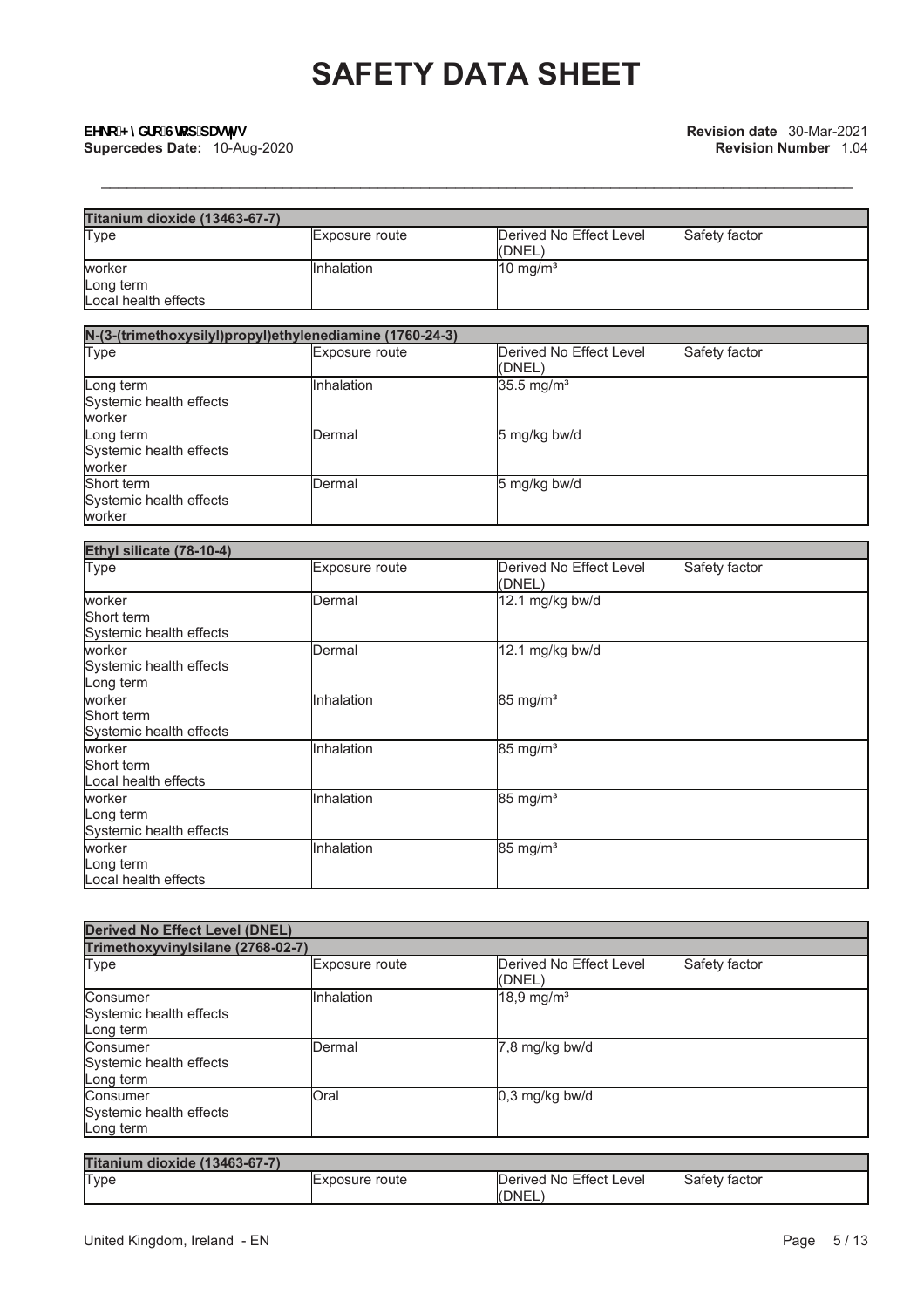# VY\_c < nXfc!Ghcd dUgh"g

| <b>Titanium dioxide (13463-67-7)</b> |                |                                   |               |  |
|--------------------------------------|----------------|-----------------------------------|---------------|--|
| Type                                 | Exposure route | Derived No Effect Level<br>(DNEL) | Safety factor |  |
| worker                               | Inhalation     | $10 \text{ mg/m}^3$               |               |  |
| Long term                            |                |                                   |               |  |
| Local health effects                 |                |                                   |               |  |

\_\_\_\_\_\_\_\_\_\_\_\_\_\_\_\_\_\_\_\_\_\_\_\_\_\_\_\_\_\_\_\_\_\_\_\_\_\_\_\_\_\_\_\_\_\_\_\_\_\_\_\_\_\_\_\_\_\_\_\_\_\_\_\_\_\_\_\_\_\_\_\_\_\_\_\_\_\_\_\_\_\_\_\_\_\_\_

| N-(3-(trimethoxysilyl)propyl)ethylenediamine (1760-24-3) |                       |                                   |               |  |
|----------------------------------------------------------|-----------------------|-----------------------------------|---------------|--|
| Type                                                     | <b>Exposure route</b> | Derived No Effect Level<br>(DNEL) | Safety factor |  |
| Long term<br>Systemic health effects<br>worker           | Inhalation            | 35.5 mg/ $m^3$                    |               |  |
| Long term<br>Systemic health effects<br>worker           | Dermal                | 5 mg/kg bw/d                      |               |  |
| Short term<br>Systemic health effects<br>worker          | Dermal                | 5 mg/kg bw/d                      |               |  |

| Ethyl silicate (78-10-4)                        |                |                                   |               |
|-------------------------------------------------|----------------|-----------------------------------|---------------|
| Type                                            | Exposure route | Derived No Effect Level<br>(DNEL) | Safety factor |
| worker<br>Short term<br>Systemic health effects | Dermal         | 12.1 mg/kg bw/d                   |               |
| worker<br>Systemic health effects<br>Long term  | Dermal         | 12.1 mg/kg bw/d                   |               |
| worker<br>Short term<br>Systemic health effects | Inhalation     | 85 mg/m <sup>3</sup>              |               |
| worker<br>Short term<br>Local health effects    | Inhalation     | 85 mg/m <sup>3</sup>              |               |
| worker<br>Long term<br>Systemic health effects  | Inhalation     | 85 mg/m <sup>3</sup>              |               |
| worker<br>Long term<br>Local health effects     | Inhalation     | 85 mg/m <sup>3</sup>              |               |

| <b>Derived No Effect Level (DNEL)</b>            |                       |                                   |               |  |
|--------------------------------------------------|-----------------------|-----------------------------------|---------------|--|
| Trimethoxyvinylsilane (2768-02-7)                |                       |                                   |               |  |
| Type                                             | <b>Exposure route</b> | Derived No Effect Level<br>(DNEL) | Safety factor |  |
| Consumer<br>Systemic health effects<br>Long term | Inhalation            | 18,9 mg/ $m^3$                    |               |  |
| Consumer<br>Systemic health effects<br>Long term | Dermal                | 7,8 mg/kg bw/d                    |               |  |
| Consumer<br>Systemic health effects<br>Long term | Oral                  | 0,3 mg/kg bw/d                    |               |  |

| <b>Titanium dioxide (13463-67-7)</b> |                       |                         |               |
|--------------------------------------|-----------------------|-------------------------|---------------|
| <b>Type</b>                          | <b>Exposure route</b> | Derived No Effect Level | Safety factor |
|                                      |                       | <b>DNEL</b>             |               |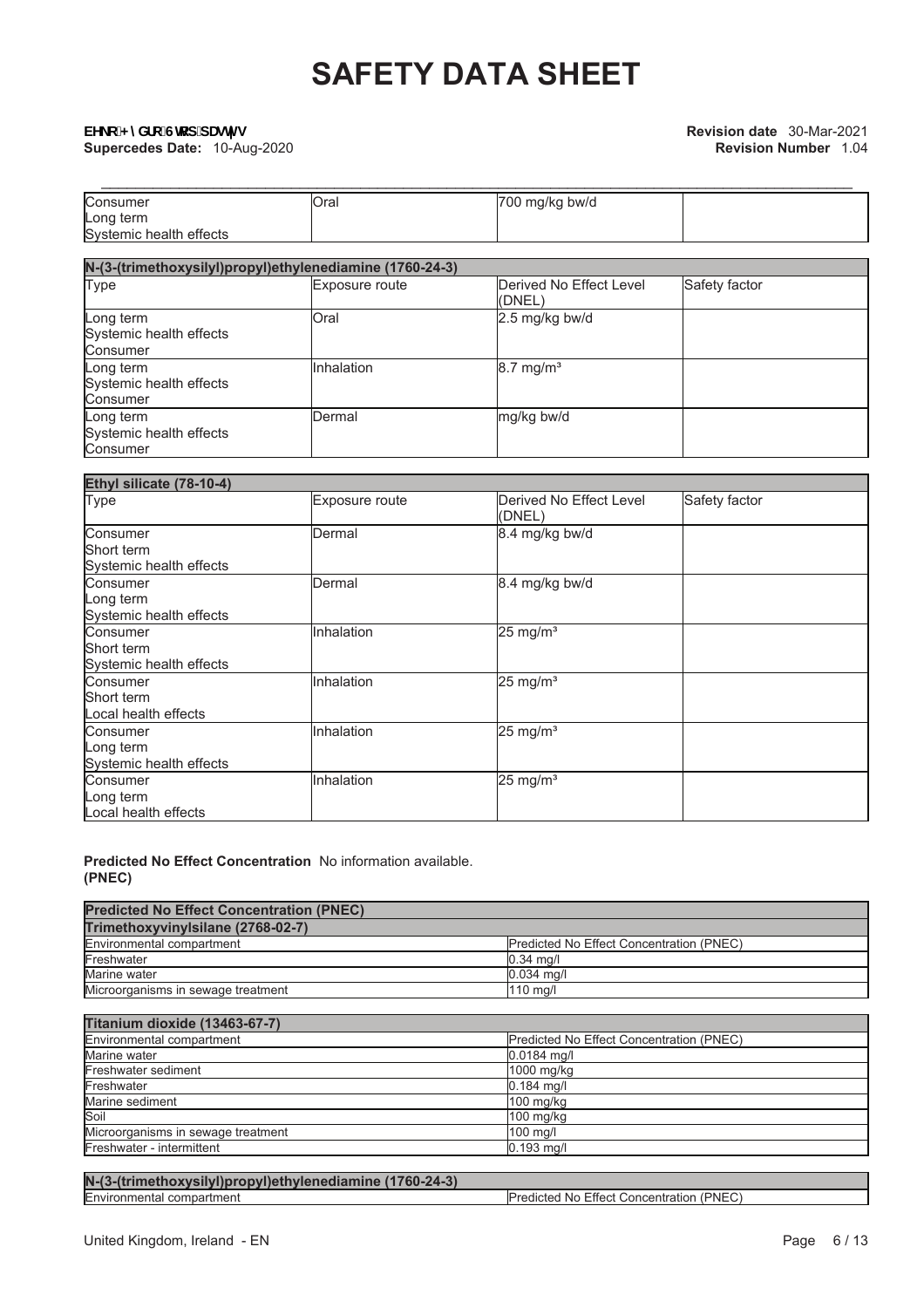# VY\_c < nXfc!Ghcd dUgh"g

# **Revision date** 30-Mar-2021

| Consumer                | <b>Oral</b> | 700 mg/kg bw/d |  |
|-------------------------|-------------|----------------|--|
| Long term               |             |                |  |
| Systemic health effects |             |                |  |

| N-(3-(trimethoxysilyl)propyl)ethylenediamine (1760-24-3) |                       |                                   |               |
|----------------------------------------------------------|-----------------------|-----------------------------------|---------------|
| <b>Type</b>                                              | <b>Exposure route</b> | Derived No Effect Level<br>(DNEL) | Safety factor |
| Long term<br>Systemic health effects<br>Consumer         | Oral                  | 2.5 mg/kg bw/d                    |               |
| Long term<br>Systemic health effects<br>Consumer         | Inhalation            | $8.7 \text{ mg/m}^3$              |               |
| Long term<br>Systemic health effects<br>Consumer         | Dermal                | mg/kg bw/d                        |               |

| Ethyl silicate (78-10-4)                          |                |                                   |               |
|---------------------------------------------------|----------------|-----------------------------------|---------------|
| Type                                              | Exposure route | Derived No Effect Level<br>(DNEL) | Safety factor |
| Consumer<br>Short term<br>Systemic health effects | Dermal         | 8.4 mg/kg bw/d                    |               |
| Consumer<br>Long term<br>Systemic health effects  | Dermal         | 8.4 mg/kg bw/d                    |               |
| Consumer<br>Short term<br>Systemic health effects | Inhalation     | $25 \text{ mg/m}^3$               |               |
| Consumer<br>Short term<br>Local health effects    | Inhalation     | $25 \text{ mg/m}^3$               |               |
| Consumer<br>Long term<br>Systemic health effects  | Inhalation     | $25 \text{ mg/m}^3$               |               |
| Consumer<br>Long term<br>Local health effects     | Inhalation     | $25 \text{ mg/m}^3$               |               |

**Predicted No Effect Concentration** No information available. **(PNEC)**

| <b>Predicted No Effect Concentration (PNEC)</b> |                                          |
|-------------------------------------------------|------------------------------------------|
| Trimethoxyvinvlsilane (2768-02-7)               |                                          |
| Environmental compartment                       | Predicted No Effect Concentration (PNEC) |
| Freshwater                                      | $0.34$ ma/                               |
| Marine water                                    | $0.034$ ma/l                             |
| Microorganisms in sewage treatment              | $110$ ma/                                |

| <b>Titanium dioxide (13463-67-7)</b> |                                          |  |
|--------------------------------------|------------------------------------------|--|
| Environmental compartment            | Predicted No Effect Concentration (PNEC) |  |
| Marine water                         | $0.0184$ mg/l                            |  |
| Freshwater sediment                  | 1000 mg/kg                               |  |
| Freshwater                           | $0.184$ mg/l                             |  |
| Marine sediment                      | $100 \text{ mg/kg}$                      |  |
| Soil                                 | $100$ mg/kg                              |  |
| Microorganisms in sewage treatment   | $100$ mg/                                |  |
| Freshwater - intermittent            | $0.193$ mg/l                             |  |

| N-(3-(trimethoxysilyl)propyl)ethylenediamine (1760-24-3) |                                                 |
|----------------------------------------------------------|-------------------------------------------------|
| Environmental compartment                                | <b>Predicted No Effect Concentration (PNEC)</b> |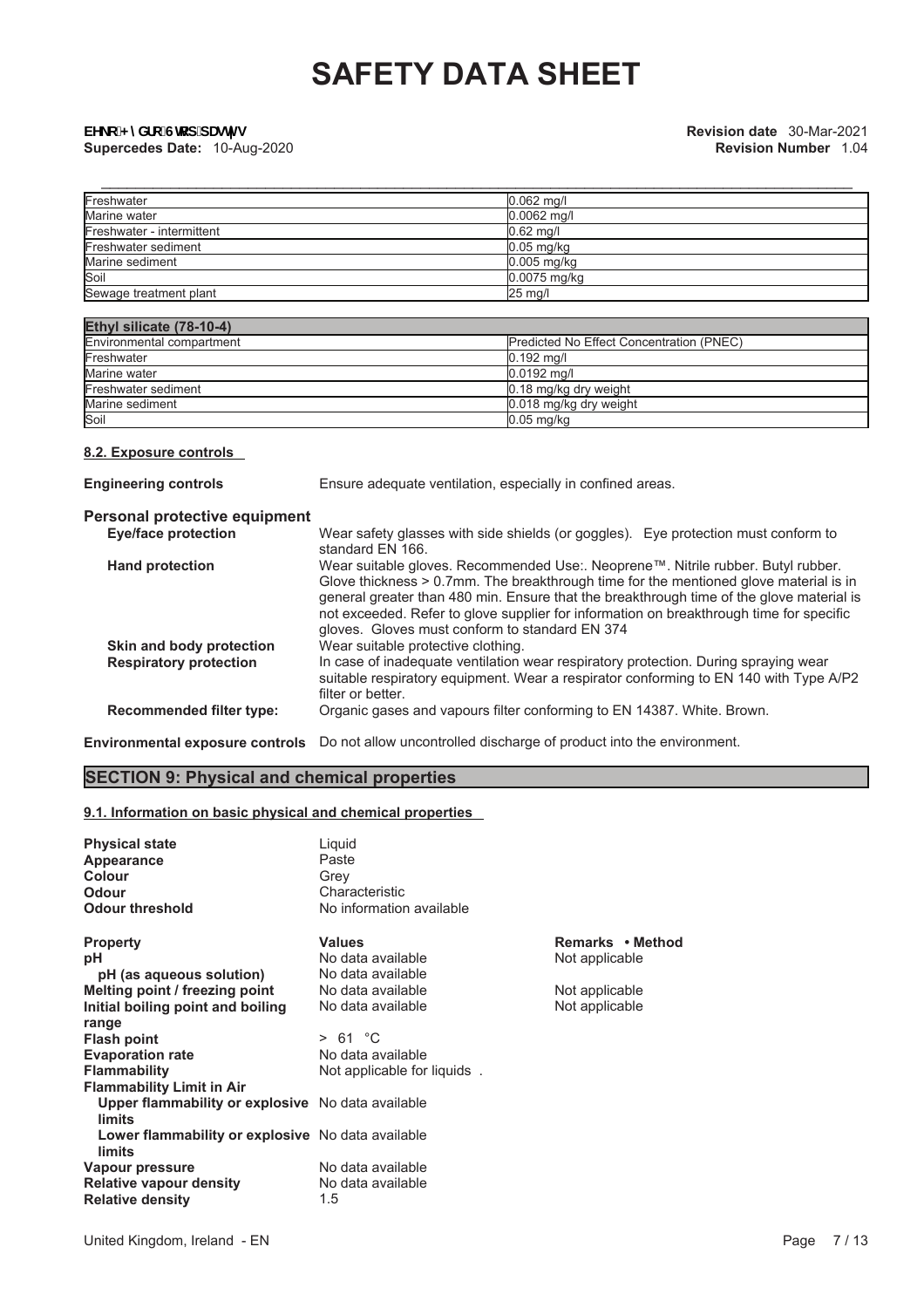# VY\_c < nXfc!Ghcd dUgh"g

**Supercedes Date:** 10-Aug-2020 **Revision Number** 1.04

| Freshwater                | $0.062$ mg/l  |  |
|---------------------------|---------------|--|
| Marine water              | $0.0062$ mg/l |  |
| Freshwater - intermittent | $0.62$ mg/l   |  |
| Freshwater sediment       | $0.05$ mg/kg  |  |
| Marine sediment           | $0.005$ mg/kg |  |
| Soil                      | 0.0075 mg/kg  |  |
| Sewage treatment plant    | 25 mg/l       |  |

| Ethyl silicate (78-10-4)  |                                                 |
|---------------------------|-------------------------------------------------|
| Environmental compartment | <b>Predicted No Effect Concentration (PNEC)</b> |
| Freshwater                | $0.192$ ma/l                                    |
| Marine water              | $0.0192$ ma/                                    |
| Freshwater sediment       | 0.18 mg/kg dry weight                           |
| Marine sediment           | 0.018 mg/kg dry weight                          |
| Soil                      | $0.05$ mg/kg                                    |

## **8.2. Exposure controls**

| <b>Engineering controls</b>     | Ensure adequate ventilation, especially in confined areas.                                                                                                                                                                                                                                                                                                                                                            |
|---------------------------------|-----------------------------------------------------------------------------------------------------------------------------------------------------------------------------------------------------------------------------------------------------------------------------------------------------------------------------------------------------------------------------------------------------------------------|
| Personal protective equipment   |                                                                                                                                                                                                                                                                                                                                                                                                                       |
| <b>Eye/face protection</b>      | Wear safety glasses with side shields (or goggles). Eye protection must conform to<br>standard EN 166.                                                                                                                                                                                                                                                                                                                |
| <b>Hand protection</b>          | Wear suitable gloves. Recommended Use:. Neoprene™. Nitrile rubber. Butyl rubber.<br>Glove thickness $> 0.7$ mm. The breakthrough time for the mentioned glove material is in<br>general greater than 480 min. Ensure that the breakthrough time of the glove material is<br>not exceeded. Refer to glove supplier for information on breakthrough time for specific<br>gloves. Gloves must conform to standard EN 374 |
| Skin and body protection        | Wear suitable protective clothing.                                                                                                                                                                                                                                                                                                                                                                                    |
| <b>Respiratory protection</b>   | In case of inadequate ventilation wear respiratory protection. During spraying wear<br>suitable respiratory equipment. Wear a respirator conforming to EN 140 with Type A/P2<br>filter or better.                                                                                                                                                                                                                     |
| <b>Recommended filter type:</b> | Organic gases and vapours filter conforming to EN 14387. White. Brown.                                                                                                                                                                                                                                                                                                                                                |
|                                 |                                                                                                                                                                                                                                                                                                                                                                                                                       |

**Environmental exposure controls** Do not allow uncontrolled discharge of product into the environment.

# **SECTION 9: Physical and chemical properties**

### **9.1. Information on basic physical and chemical properties**

| <b>Physical state</b><br>Appearance<br>Colour<br>Odour<br><b>Odour threshold</b> | Liquid<br>Paste<br>Grey<br>Characteristic<br>No information available |
|----------------------------------------------------------------------------------|-----------------------------------------------------------------------|
| <b>Property</b>                                                                  | <b>Values</b>                                                         |
| рH                                                                               | No data available                                                     |
| pH (as aqueous solution)                                                         | No data available                                                     |
| Melting point / freezing point                                                   | No data available                                                     |
| Initial boiling point and boiling                                                | No data available                                                     |
| range                                                                            |                                                                       |
| <b>Flash point</b>                                                               | > 61 °C                                                               |
| <b>Evaporation rate</b>                                                          | No data available                                                     |
| <b>Flammability</b>                                                              | Not applicable for liquids.                                           |
| <b>Flammability Limit in Air</b>                                                 |                                                                       |
| <b>Upper flammability or explosive</b> No data available<br>limits               |                                                                       |
| Lower flammability or explosive No data available<br><b>limits</b>               |                                                                       |
| Vapour pressure                                                                  | No data available                                                     |
| <b>Relative vapour density</b>                                                   | No data available                                                     |
| <b>Relative density</b>                                                          | 1.5                                                                   |

**Remarks • Method Not applicable** 

**Not applicable** Not applicable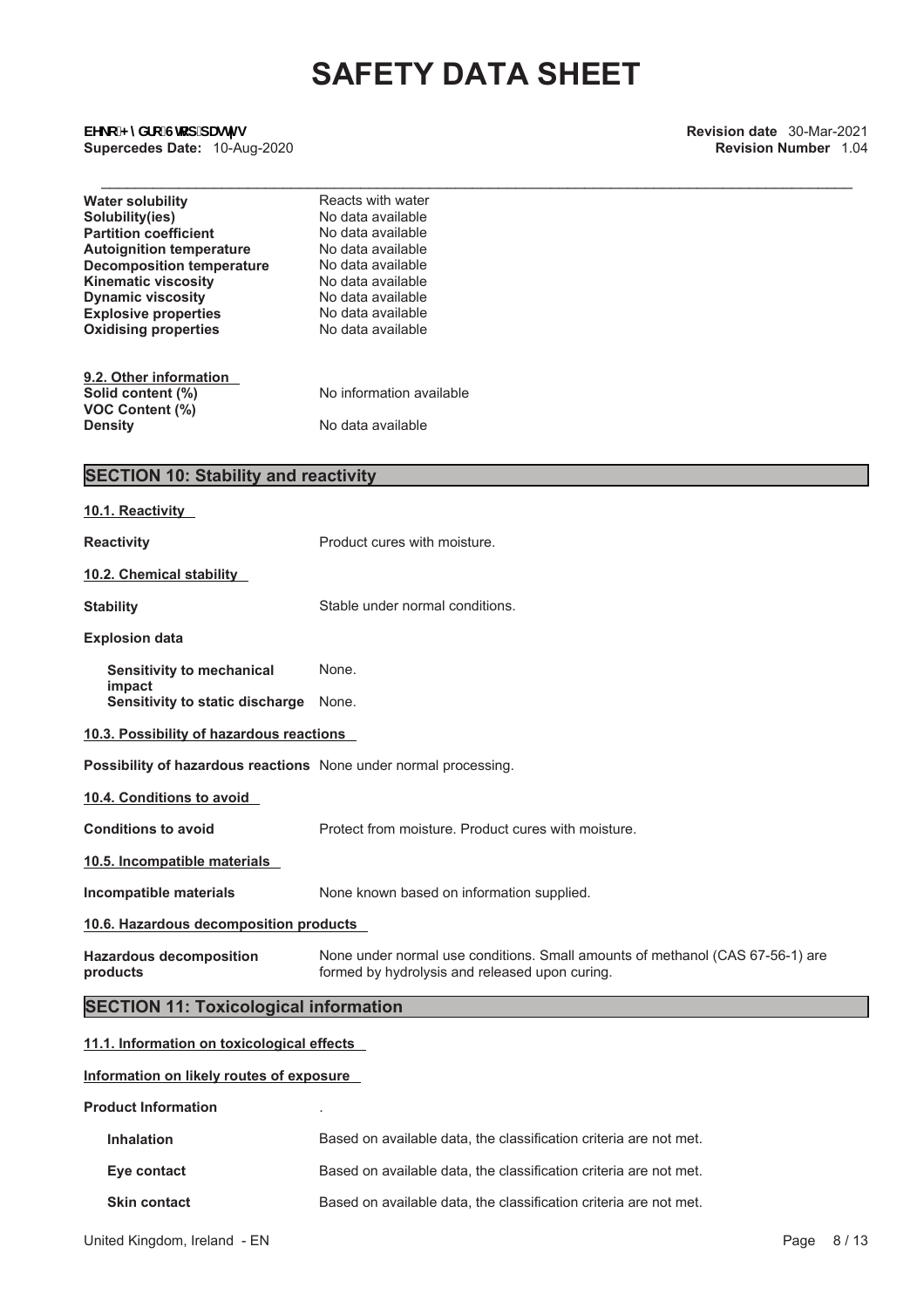\_\_\_\_\_\_\_\_\_\_\_\_\_\_\_\_\_\_\_\_\_\_\_\_\_\_\_\_\_\_\_\_\_\_\_\_\_\_\_\_\_\_\_\_\_\_\_\_\_\_\_\_\_\_\_\_\_\_\_\_\_\_\_\_\_\_\_\_\_\_\_\_\_\_\_\_\_\_\_\_\_\_\_\_\_\_\_

**Supercedes Date:** 10-Aug-2020 **Revision Number** 1.04 VY\_c < nXfc!Ghcd dUgh"g

**Revision date** 30-Mar-2021

| <b>Water solubility</b><br>Solubility(ies)<br><b>Partition coefficient</b><br><b>Autoignition temperature</b><br><b>Decomposition temperature</b><br><b>Kinematic viscosity</b><br><b>Dynamic viscosity</b><br><b>Explosive properties</b><br><b>Oxidising properties</b><br>9.2. Other information | Reacts with water<br>No data available<br>No data available<br>No data available<br>No data available<br>No data available<br>No data available<br>No data available<br>No data available |
|-----------------------------------------------------------------------------------------------------------------------------------------------------------------------------------------------------------------------------------------------------------------------------------------------------|-------------------------------------------------------------------------------------------------------------------------------------------------------------------------------------------|
| Solid content (%)<br>VOC Content (%)                                                                                                                                                                                                                                                                | No information available                                                                                                                                                                  |
| <b>Density</b>                                                                                                                                                                                                                                                                                      | No data available                                                                                                                                                                         |
| <b>SECTION 10: Stability and reactivity</b>                                                                                                                                                                                                                                                         |                                                                                                                                                                                           |
| 10.1. Reactivity                                                                                                                                                                                                                                                                                    |                                                                                                                                                                                           |
| <b>Reactivity</b>                                                                                                                                                                                                                                                                                   | Product cures with moisture.                                                                                                                                                              |
| 10.2. Chemical stability                                                                                                                                                                                                                                                                            |                                                                                                                                                                                           |
| <b>Stability</b>                                                                                                                                                                                                                                                                                    | Stable under normal conditions.                                                                                                                                                           |
| <b>Explosion data</b>                                                                                                                                                                                                                                                                               |                                                                                                                                                                                           |
| Sensitivity to mechanical<br>impact                                                                                                                                                                                                                                                                 | None.                                                                                                                                                                                     |
| Sensitivity to static discharge                                                                                                                                                                                                                                                                     | None.                                                                                                                                                                                     |
| 10.3. Possibility of hazardous reactions                                                                                                                                                                                                                                                            |                                                                                                                                                                                           |
| Possibility of hazardous reactions None under normal processing.                                                                                                                                                                                                                                    |                                                                                                                                                                                           |
| 10.4. Conditions to avoid                                                                                                                                                                                                                                                                           |                                                                                                                                                                                           |
| <b>Conditions to avoid</b>                                                                                                                                                                                                                                                                          | Protect from moisture. Product cures with moisture.                                                                                                                                       |
| 10.5. Incompatible materials                                                                                                                                                                                                                                                                        |                                                                                                                                                                                           |
| Incompatible materials                                                                                                                                                                                                                                                                              | None known based on information supplied.                                                                                                                                                 |
| 10.6. Hazardous decomposition products                                                                                                                                                                                                                                                              |                                                                                                                                                                                           |
| <b>Hazardous decomposition</b><br>products                                                                                                                                                                                                                                                          | None under normal use conditions. Small amounts of methanol (CAS 67-56-1) are<br>formed by hydrolysis and released upon curing.                                                           |
| <b>SECTION 11: Toxicological information</b>                                                                                                                                                                                                                                                        |                                                                                                                                                                                           |
| 11.1. Information on toxicological effects                                                                                                                                                                                                                                                          |                                                                                                                                                                                           |
| Information on likely routes of exposure                                                                                                                                                                                                                                                            |                                                                                                                                                                                           |

**Product Information** .

| <b>Inhalation</b>   | Based on available data, the classification criteria are not met. |
|---------------------|-------------------------------------------------------------------|
| Eye contact         | Based on available data, the classification criteria are not met. |
| <b>Skin contact</b> | Based on available data, the classification criteria are not met. |

United Kingdom, Ireland - EN **Page 8 / 13**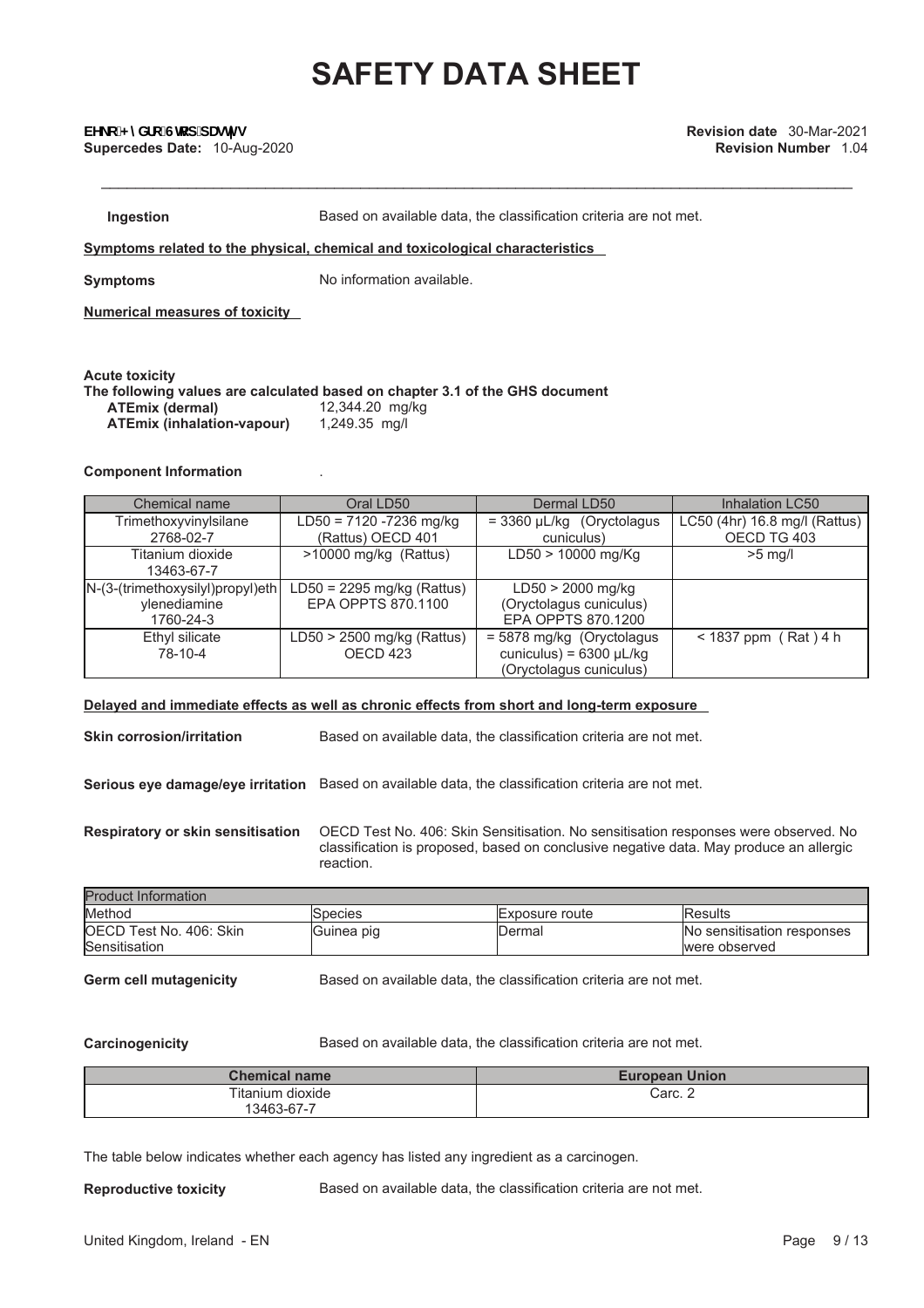\_\_\_\_\_\_\_\_\_\_\_\_\_\_\_\_\_\_\_\_\_\_\_\_\_\_\_\_\_\_\_\_\_\_\_\_\_\_\_\_\_\_\_\_\_\_\_\_\_\_\_\_\_\_\_\_\_\_\_\_\_\_\_\_\_\_\_\_\_\_\_\_\_\_\_\_\_\_\_\_\_\_\_\_\_\_\_

VY c'<mXfc!Ghcd'dUgh'q

**Revision date** 30-Mar-2021 **Supercedes Date:** 10-Aug-2020 **Revision Number** 1.04

**Ingestion** Based on available data, the classification criteria are not met.

### **Symptoms related to the physical, chemical and toxicological characteristics**

**Symptoms** No information available.

**Numerical measures of toxicity**

**Acute toxicity The following values are calculated based on chapter 3.1 of the GHS document<br>ATEmix (dermal)** 12,344.20 mg/kg **ATEmix (dermal)** 12,344.20 mg/<br>**ATEmix (inhalation-vapour)** 1,249.35 mg/l **ATEmix (inhalation-vapour)** 

### **Component Information** .

| Chemical name                    | Oral LD50                    | Dermal LD50                  | <b>Inhalation LC50</b>        |
|----------------------------------|------------------------------|------------------------------|-------------------------------|
| Trimethoxyvinylsilane            | LD50 = 7120 -7236 mg/kg      | $=$ 3360 µL/kg (Oryctolagus  | LC50 (4hr) 16.8 mg/l (Rattus) |
| 2768-02-7                        | (Rattus) OECD 401            | cuniculus)                   | OECD TG 403                   |
| Titanium dioxide                 | $>10000$ mg/kg (Rattus)      | LD50 > 10000 mg/Kg           | $>5$ mg/l                     |
| 13463-67-7                       |                              |                              |                               |
| N-(3-(trimethoxysilyl)propyl)eth | $LD50 = 2295$ mg/kg (Rattus) | $LD50 > 2000$ mg/kg          |                               |
| ylenediamine                     | EPA OPPTS 870.1100           | (Oryctolagus cuniculus)      |                               |
| 1760-24-3                        |                              | EPA OPPTS 870.1200           |                               |
| Ethyl silicate                   | LD50 $>$ 2500 mg/kg (Rattus) | = 5878 mg/kg (Oryctolagus    | $<$ 1837 ppm (Rat) 4 h        |
| 78-10-4                          | OECD <sub>423</sub>          | cuniculus) = $6300 \mu L/kg$ |                               |
|                                  |                              | (Oryctolagus cuniculus)      |                               |

### **Delayed and immediate effects as well as chronic effects from short and long-term exposure**

**Skin corrosion/irritation** Based on available data, the classification criteria are not met.

**Serious eye damage/eye irritation** Based on available data, the classification criteria are not met.

**Respiratory or skin sensitisation** OECD Test No. 406: Skin Sensitisation. No sensitisation responses were observed. No classification is proposed, based on conclusive negative data. May produce an allergic reaction.

| <b>Product Information</b> |            |                 |                            |
|----------------------------|------------|-----------------|----------------------------|
| Method                     | Species    | IExposure route | Results                    |
| OECD Test No. 406: Skin    | Guinea pig | Dermal          | No sensitisation responses |
| Sensitisation              |            |                 | were observed              |

**Germ cell mutagenicity** Based on available data, the classification criteria are not met.

**Carcinogenicity** Based on available data, the classification criteria are not met.

| European Union |
|----------------|
| Carc. ∠        |
|                |

The table below indicates whether each agency has listed any ingredient as a carcinogen.

**Reproductive toxicity** Based on available data, the classification criteria are not met.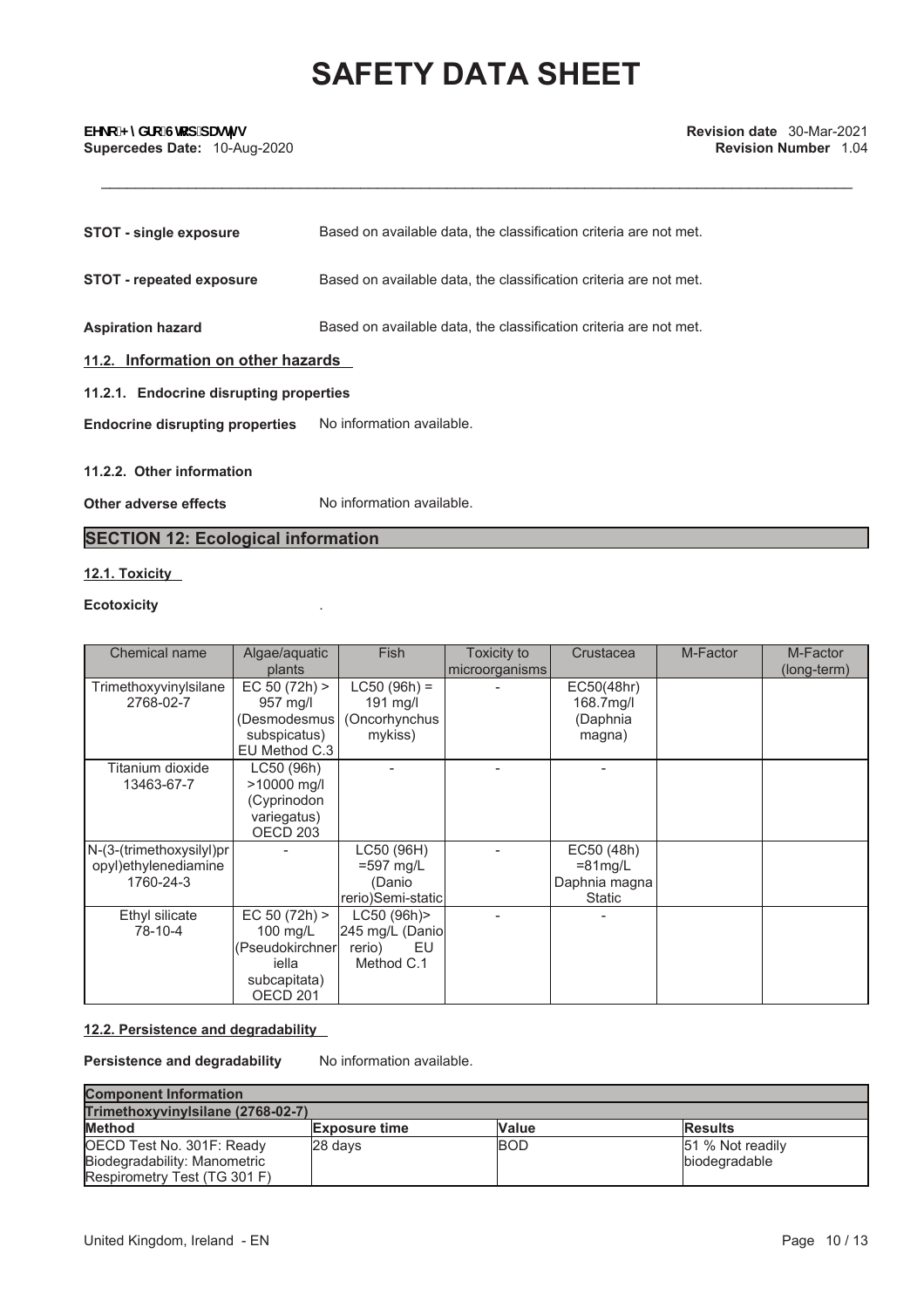\_\_\_\_\_\_\_\_\_\_\_\_\_\_\_\_\_\_\_\_\_\_\_\_\_\_\_\_\_\_\_\_\_\_\_\_\_\_\_\_\_\_\_\_\_\_\_\_\_\_\_\_\_\_\_\_\_\_\_\_\_\_\_\_\_\_\_\_\_\_\_\_\_\_\_\_\_\_\_\_\_\_\_\_\_\_\_

| <b>STOT - single exposure</b>           | Based on available data, the classification criteria are not met. |  |  |
|-----------------------------------------|-------------------------------------------------------------------|--|--|
| <b>STOT - repeated exposure</b>         | Based on available data, the classification criteria are not met. |  |  |
| <b>Aspiration hazard</b>                | Based on available data, the classification criteria are not met. |  |  |
| 11.2. Information on other hazards      |                                                                   |  |  |
| 11.2.1. Endocrine disrupting properties |                                                                   |  |  |
| <b>Endocrine disrupting properties</b>  | No information available.                                         |  |  |
| 11.2.2. Other information               |                                                                   |  |  |

**Other adverse effects** No information available.

# **SECTION 12: Ecological information**

## **12.1. Toxicity**

## **Ecotoxicity** .

| <b>Chemical name</b>                                          | Algae/aquatic<br>plants                                                                         | <b>Fish</b>                                                  | Toxicity to<br>microorganisms | Crustacea                                                  | M-Factor | M-Factor<br>(long-term) |
|---------------------------------------------------------------|-------------------------------------------------------------------------------------------------|--------------------------------------------------------------|-------------------------------|------------------------------------------------------------|----------|-------------------------|
| Trimethoxyvinylsilane<br>2768-02-7                            | EC 50 (72h)<br>957 mg/l<br>Desmodesmus<br>subspicatus)                                          | $LC50 (96h) =$<br>$191$ mg/l<br>(Oncorhynchus<br>mykiss)     |                               | EC50(48hr)<br>168.7mg/l<br>(Daphnia<br>magna)              |          |                         |
| Titanium dioxide<br>13463-67-7                                | EU Method C.3<br>LC50 (96h)<br>>10000 mg/l<br>(Cyprinodon<br>variegatus)<br>OECD <sub>203</sub> |                                                              |                               |                                                            |          |                         |
| N-(3-(trimethoxysilyl)pr<br>opyl)ethylenediamine<br>1760-24-3 |                                                                                                 | LC50 (96H)<br>$=597$ mg/L<br>(Danio<br>rerio)Semi-static     |                               | EC50 (48h)<br>$=81$ mg/L<br>Daphnia magna<br><b>Static</b> |          |                         |
| Ethyl silicate<br>78-10-4                                     | EC 50 (72h)<br>100 mg/L<br>Pseudokirchner<br>iella<br>subcapitata)<br>OECD <sub>201</sub>       | LC50 (96h)><br>245 mg/L (Danio<br>EU<br>rerio)<br>Method C.1 |                               |                                                            |          |                         |

# **12.2. Persistence and degradability**

**Persistence and degradability** No information available.

| <b>Component Information</b>      |                      |            |                  |  |
|-----------------------------------|----------------------|------------|------------------|--|
| Trimethoxyvinvlsilane (2768-02-7) |                      |            |                  |  |
| <b>Method</b>                     | <b>Exposure time</b> | Value      | <b>Results</b>   |  |
| OECD Test No. 301F: Ready         | 28 davs              | <b>BOD</b> | 51 % Not readily |  |
| Biodegradability: Manometric      |                      |            | biodegradable    |  |
| Respirometry Test (TG 301 F)      |                      |            |                  |  |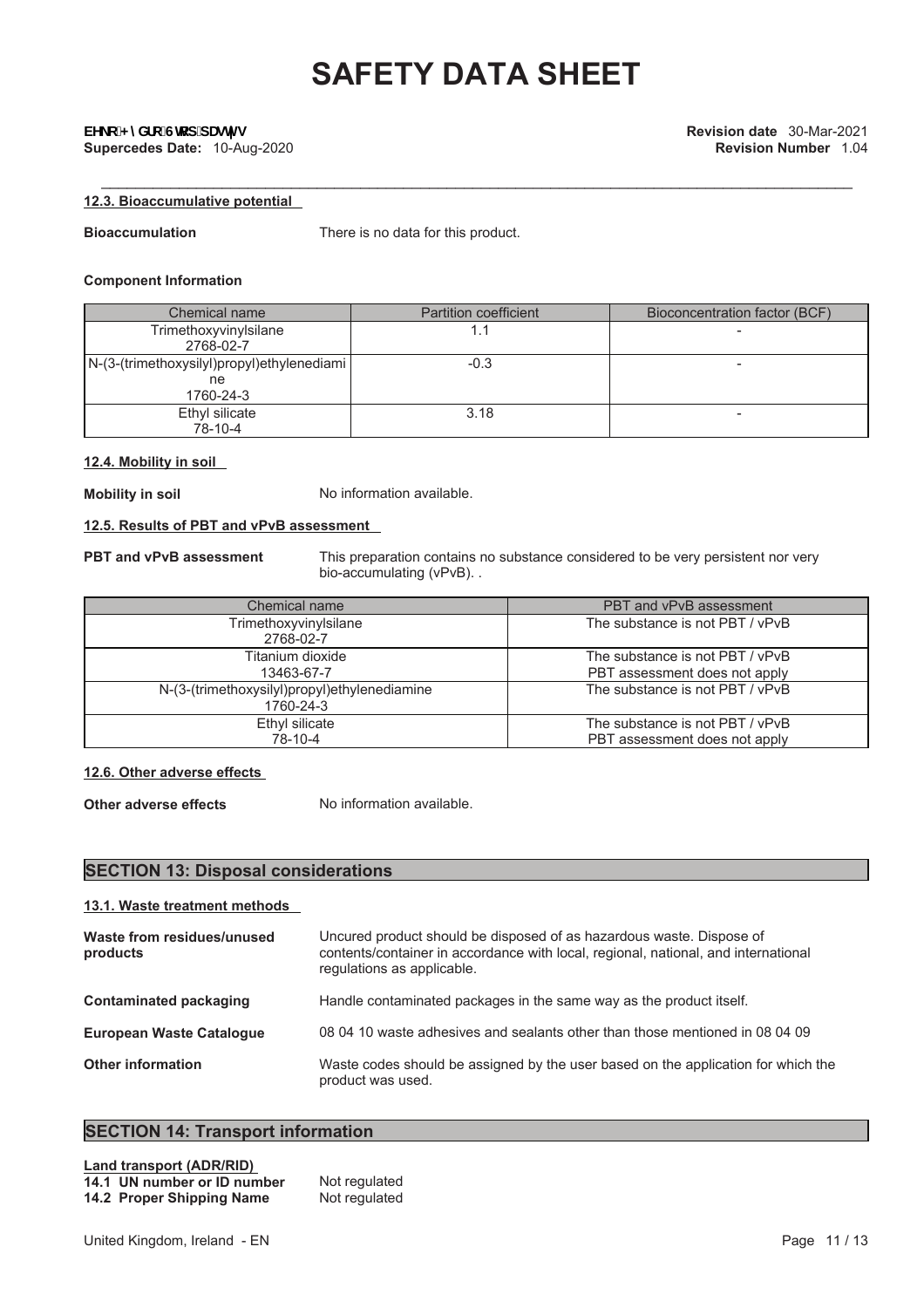\_\_\_\_\_\_\_\_\_\_\_\_\_\_\_\_\_\_\_\_\_\_\_\_\_\_\_\_\_\_\_\_\_\_\_\_\_\_\_\_\_\_\_\_\_\_\_\_\_\_\_\_\_\_\_\_\_\_\_\_\_\_\_\_\_\_\_\_\_\_\_\_\_\_\_\_\_\_\_\_\_\_\_\_\_\_\_

## VY c'<mXfc!Ghcd'dUgh'q

**Supercedes Date: 10-Aug-2020** 

## **12.3. Bioaccumulative potential**

**Bioaccumulation** There is no data for this product.

### **Component Information**

| Chemical name                                                 | <b>Partition coefficient</b> | Bioconcentration factor (BCF) |
|---------------------------------------------------------------|------------------------------|-------------------------------|
| Trimethoxyvinylsilane<br>2768-02-7                            |                              |                               |
| N-(3-(trimethoxysilyl)propyl)ethylenediami<br>ne<br>1760-24-3 | $-0.3$                       |                               |
| Ethyl silicate<br>78-10-4                                     | 3.18                         |                               |

### **12.4. Mobility in soil**

**Mobility in soil** No information available.

## **12.5. Results of PBT and vPvB assessment**

**PBT and vPvB assessment** This preparation contains no substance considered to be very persistent nor very bio-accumulating (vPvB). .

| Chemical name                                             | PBT and vPvB assessment                                          |
|-----------------------------------------------------------|------------------------------------------------------------------|
| Trimethoxyvinylsilane<br>2768-02-7                        | The substance is not PBT / vPvB                                  |
| Titanium dioxide<br>13463-67-7                            | The substance is not PBT / vPvB<br>PBT assessment does not apply |
| N-(3-(trimethoxysilyl)propyl)ethylenediamine<br>1760-24-3 | The substance is not PBT / vPvB                                  |
| Ethyl silicate                                            | The substance is not PBT / vPvB                                  |
| 78-10-4                                                   | PBT assessment does not apply                                    |

# **12.6. Other adverse effects**

**Other adverse effects** No information available.

# **SECTION 13: Disposal considerations**

## **13.1. Waste treatment methods**

| Waste from residues/unused<br>products | Uncured product should be disposed of as hazardous waste. Dispose of<br>contents/container in accordance with local, regional, national, and international<br>regulations as applicable. |
|----------------------------------------|------------------------------------------------------------------------------------------------------------------------------------------------------------------------------------------|
| Contaminated packaging                 | Handle contaminated packages in the same way as the product itself.                                                                                                                      |
| <b>European Waste Catalogue</b>        | 08 04 10 waste adhesives and sealants other than those mentioned in 08 04 09                                                                                                             |
| <b>Other information</b>               | Waste codes should be assigned by the user based on the application for which the<br>product was used.                                                                                   |

# **SECTION 14: Transport information**

### **Land transport (ADR/RID) 14.1 UN number or ID number** Not regulated<br>**14.2 Proper Shipping Name** Not regulated **14.2 Proper Shipping Name**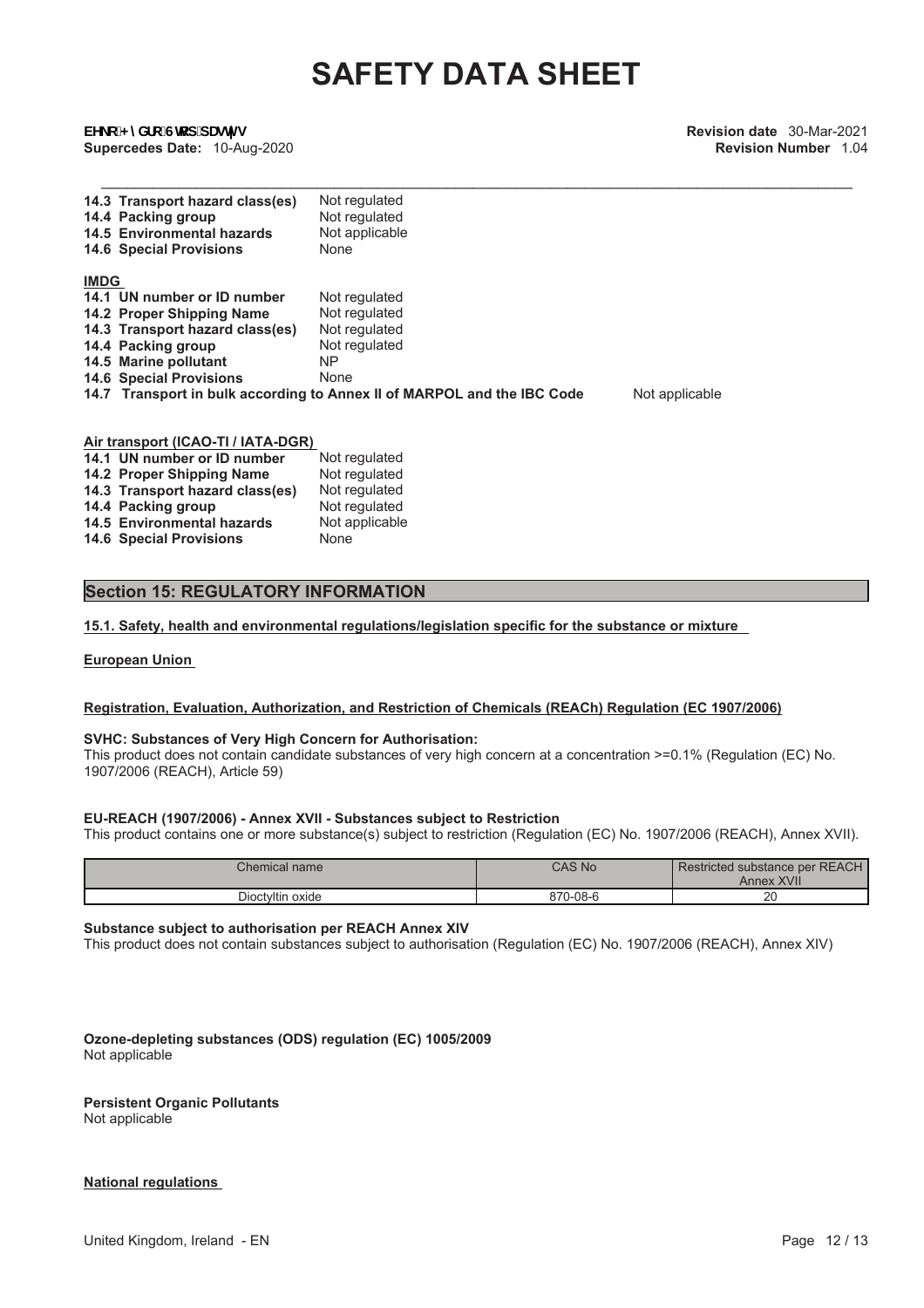\_\_\_\_\_\_\_\_\_\_\_\_\_\_\_\_\_\_\_\_\_\_\_\_\_\_\_\_\_\_\_\_\_\_\_\_\_\_\_\_\_\_\_\_\_\_\_\_\_\_\_\_\_\_\_\_\_\_\_\_\_\_\_\_\_\_\_\_\_\_\_\_\_\_\_\_\_\_\_\_\_\_\_\_\_\_\_

**Supercedes Date:** 10-Aug-2020 **Revision Number** 1.04 VY c'<mXfc!Ghcd'dUah'a

**Revision date** 30-Mar-2021

| 14.3 Transport hazard class(es)<br>14.4 Packing group<br>14.5 Environmental hazards<br><b>14.6 Special Provisions</b> | Not regulated<br>Not regulated<br>Not applicable<br>None                |                |
|-----------------------------------------------------------------------------------------------------------------------|-------------------------------------------------------------------------|----------------|
| <b>IMDG</b>                                                                                                           |                                                                         |                |
| 14.1 UN number or ID number                                                                                           | Not regulated                                                           |                |
| 14.2 Proper Shipping Name                                                                                             | Not regulated                                                           |                |
| 14.3 Transport hazard class(es)                                                                                       | Not regulated                                                           |                |
| 14.4 Packing group                                                                                                    | Not regulated                                                           |                |
| 14.5 Marine pollutant                                                                                                 | NP.                                                                     |                |
| <b>14.6 Special Provisions</b>                                                                                        | None                                                                    |                |
|                                                                                                                       | 14.7 Transport in bulk according to Annex II of MARPOL and the IBC Code | Not applicable |
|                                                                                                                       |                                                                         |                |
|                                                                                                                       |                                                                         |                |

### **Air transport (ICAO-TI / IATA-DGR) 14.1 UN number or ID number** Not regulated **14.2 Proper Shipping Name** Not regulated **14.2 Proper Shipping Name** Not regulated **14.3 Transport hazard class(es)** Not regulated **14.3 Transport hazard class(es)** Not regulated **14.4 Packing group** Not regulated **14.4 Packing group 14.5 Environmental hazards** Not applicable<br>**14.6 Special Provisions** None **14.6 Special Provisions**

# **Section 15: REGULATORY INFORMATION**

**15.1. Safety, health and environmental regulations/legislation specific for the substance or mixture**

**European Union** 

### **Registration, Evaluation, Authorization, and Restriction of Chemicals (REACh) Regulation (EC 1907/2006)**

### **SVHC: Substances of Very High Concern for Authorisation:**

This product does not contain candidate substances of very high concern at a concentration >=0.1% (Regulation (EC) No. 1907/2006 (REACH), Article 59)

### **EU-REACH (1907/2006) - Annex XVII - Substances subject to Restriction**

This product contains one or more substance(s) subject to restriction (Regulation (EC) No. 1907/2006 (REACH), Annex XVII).

| <b>Chemical name</b> | <b>CAS No</b> | Restricted substance per REACH<br><b>Annex XVII</b> |
|----------------------|---------------|-----------------------------------------------------|
| Dioctyltin oxide     | 870-08-6      | ∠∪                                                  |

### **Substance subject to authorisation per REACH Annex XIV**

This product does not contain substances subject to authorisation (Regulation (EC) No. 1907/2006 (REACH), Annex XIV)

**Ozone-depleting substances (ODS) regulation (EC) 1005/2009** Not applicable

### **Persistent Organic Pollutants**

Not applicable

## **National regulations**